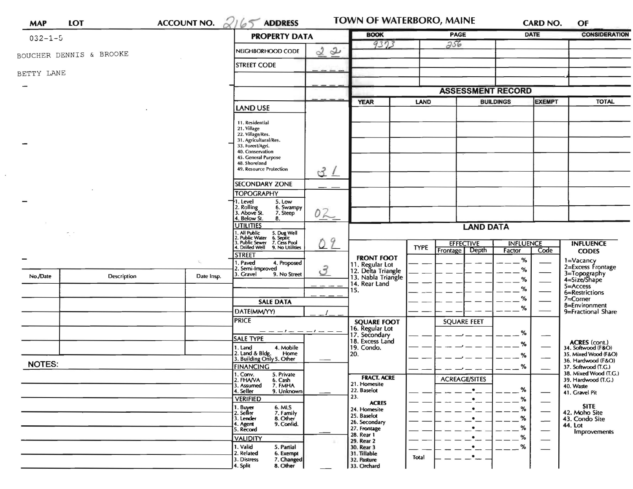| $032 - 1 - 5$ |                         |                                           | <b>PROPERTY DATA</b>                                                                                                |                  | <b>BOOK</b>                           |             | <b>PAGE</b>                        |                                   | <b>DATE</b> | <b>CONSIDERATION</b>                                      |
|---------------|-------------------------|-------------------------------------------|---------------------------------------------------------------------------------------------------------------------|------------------|---------------------------------------|-------------|------------------------------------|-----------------------------------|-------------|-----------------------------------------------------------|
|               | BOUCHER DENNIS & BROOKE |                                           | NEIGHBORHOOD CODE                                                                                                   | 22               | 9373                                  |             | 256                                |                                   |             |                                                           |
|               |                         |                                           | <b>STREET CODE</b>                                                                                                  |                  |                                       |             |                                    |                                   |             |                                                           |
| BETTY LANE    |                         |                                           |                                                                                                                     |                  |                                       |             |                                    |                                   |             |                                                           |
|               |                         |                                           |                                                                                                                     |                  |                                       |             | <b>ASSESSMENT RECORD</b>           |                                   |             |                                                           |
|               |                         |                                           |                                                                                                                     |                  | LAND<br><b>YEAR</b>                   |             |                                    | <b>EXEMPT</b><br><b>BUILDINGS</b> |             | <b>TOTAL</b>                                              |
|               |                         |                                           | <b>LAND USE</b>                                                                                                     |                  |                                       |             |                                    |                                   |             |                                                           |
|               |                         |                                           | 11. Residential<br>21. Village<br>22. Village/Res.<br>31. Agricultural/Res.<br>33. Forest/Agri.<br>40. Conservation |                  |                                       |             |                                    |                                   |             |                                                           |
|               |                         |                                           | 45. General Purpose<br>48. Shoreland<br>49. Resource Protection                                                     | 31               |                                       |             |                                    |                                   |             |                                                           |
|               |                         |                                           | <b>SECONDARY ZONE</b><br><b>TOPOGRAPHY</b>                                                                          |                  |                                       |             |                                    |                                   |             |                                                           |
|               |                         |                                           | 5. Low<br>I. Level                                                                                                  |                  |                                       |             |                                    |                                   |             |                                                           |
|               |                         |                                           | 2. Rolling<br>3. Above St.<br>6. Swampy<br>7. Steep<br>4. Below St.<br>8.                                           | 02               |                                       |             |                                    |                                   |             |                                                           |
|               |                         |                                           | <b>UTILITIES</b>                                                                                                    | <b>LAND DATA</b> |                                       |             |                                    |                                   |             |                                                           |
|               |                         |                                           | All Public 5. Dug Well<br>Public Water 6. Septic<br>Public Sewer 7. Cess Pool<br>. Drilled Well<br>9. No Utilities  | 9                |                                       | <b>TYPE</b> | <b>EFFECTIVE</b><br>Frontage Depth | <b>INFLUENCE</b><br>Factor        | Code        | <b>INFLUENCE</b>                                          |
|               |                         | $\mathcal{L}_{\mathcal{L}_{\mathcal{L}}}$ | <b>STREET</b>                                                                                                       |                  | <b>FRONT FOOT</b>                     |             |                                    | %                                 |             | <b>CODES</b>                                              |
|               |                         |                                           | . Paved<br>4. Proposed<br>2. Semi-Improved                                                                          | 3                | 11. Regular Lot<br>12. Delta Triangle |             |                                    | %                                 |             | 1=Vacancy<br>2=Excess Frontage                            |
| No./Date      | Description             | Date Insp.                                | 3. Gravel<br>9. No Street                                                                                           |                  | 13. Nabla Triangle<br>14. Rear Land   |             |                                    | %                                 |             | 3=Topography<br>4=Size/Shape                              |
|               |                         |                                           |                                                                                                                     |                  | 15.                                   |             |                                    | %                                 |             | $5 = Access$<br>6=Restrictions                            |
|               |                         |                                           | <b>SALE DATA</b>                                                                                                    |                  |                                       |             |                                    | %                                 |             | 7=Corner<br>8=Environment                                 |
|               |                         |                                           | DATE(MM/YY)                                                                                                         |                  |                                       |             |                                    | %                                 |             | 9=Fractional Share                                        |
|               |                         |                                           |                                                                                                                     | <b>PRICE</b>     |                                       |             | <b>SQUARE FEET</b>                 |                                   |             |                                                           |
|               |                         |                                           | _ _ _ _ _ _ _ _ _ _<br><b>SALE TYPE</b>                                                                             |                  | 16. Regular Lot<br>17. Secondary      |             |                                    | %                                 | --          |                                                           |
|               |                         |                                           | 1. Land<br>4. Mobile                                                                                                |                  | 18. Excess Land<br>19. Condo.         |             |                                    | %                                 |             | <b>ACRES</b> (cont.)<br>34. Softwood (F&O)                |
|               |                         |                                           | 2. Land & Bldg. Home<br>3. Building Only 5. Other<br>Home                                                           |                  | 20.                                   |             |                                    | ℅                                 |             | 35. Mixed Wood (F&O)<br>36. Hardwood (F&O)                |
| <b>NOTES:</b> |                         |                                           | <b>FINANCING</b>                                                                                                    |                  |                                       |             |                                    | %                                 |             | 37. Softwood (T.G.)                                       |
|               |                         |                                           | 1. Conv.<br>5. Private<br>2. FHAVA<br>6. Cash<br>3. Assumed<br>7. FMHA                                              |                  | <b>FRACT. ACRE</b><br>21. Homesite    |             | <b>ACREAGE/SITES</b>               |                                   |             | 38. Mixed Wood (T.G.)<br>39. Hardwood (T.G.)<br>40. Waste |
|               |                         |                                           | 9. Unknown<br>4. Seller<br><b>VERIFIED</b>                                                                          |                  | 22. Baselot<br>23.                    |             |                                    | %<br>%                            |             | 41. Gravel Pit                                            |
|               |                         |                                           | 6. MLS<br>1. Buyer<br>2. Seller                                                                                     |                  | <b>ACRES</b><br>24. Homesite          |             |                                    | %                                 |             | <b>SITE</b>                                               |
|               |                         |                                           | 7. Family<br>8. Other<br>3. Lender                                                                                  |                  | 25. Baselot                           |             |                                    | $\%$                              | —           | 42. Moho Site<br>43. Condo Site                           |
|               |                         |                                           | 9. Confid.<br>4. Agent<br>5. Record                                                                                 |                  | 26. Secondary<br>27. Frontage         |             |                                    | %                                 | -<br>—      | 44. Lot                                                   |
|               |                         |                                           | <b>VALIDITY</b>                                                                                                     |                  | 28. Rear 1<br>29. Rear 2              |             |                                    | %                                 |             | Improvements                                              |
|               |                         |                                           | 1. Valid<br>5. Partial<br>2. Related                                                                                |                  | 30. Rear 3<br>31. Tillable            |             | ٠                                  | %                                 |             |                                                           |
|               |                         |                                           | 6. Exempt                                                                                                           |                  |                                       |             | $\cdot$ $\cdot$                    |                                   |             |                                                           |

 $\mathcal{L}_{\mathcal{A}}$